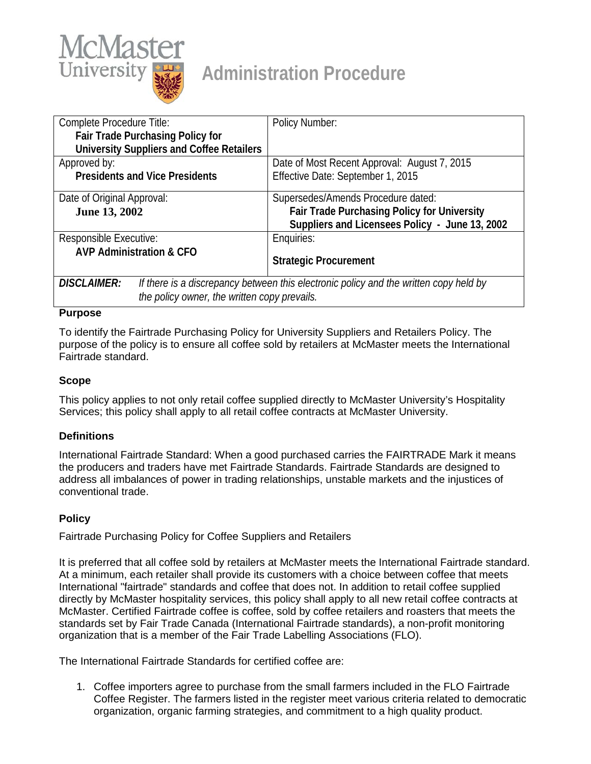

# **Administration Procedure**

| Complete Procedure Title:                                                                                   | <b>Policy Number:</b>                                                                         |
|-------------------------------------------------------------------------------------------------------------|-----------------------------------------------------------------------------------------------|
| <b>Fair Trade Purchasing Policy for</b>                                                                     |                                                                                               |
| <b>University Suppliers and Coffee Retailers</b>                                                            |                                                                                               |
| Approved by:                                                                                                | Date of Most Recent Approval: August 7, 2015                                                  |
| <b>Presidents and Vice Presidents</b>                                                                       | Effective Date: September 1, 2015                                                             |
| Date of Original Approval:                                                                                  | Supersedes/Amends Procedure dated:                                                            |
| June 13, 2002                                                                                               | Fair Trade Purchasing Policy for University<br>Suppliers and Licensees Policy - June 13, 2002 |
| Responsible Executive:                                                                                      | Enquiries:                                                                                    |
| <b>AVP Administration &amp; CFO</b>                                                                         | <b>Strategic Procurement</b>                                                                  |
| <b>DISCLAIMER:</b><br>If there is a discrepancy between this electronic policy and the written copy held by |                                                                                               |
| the policy owner, the written copy prevails.                                                                |                                                                                               |

#### **Purpose**

To identify the Fairtrade Purchasing Policy for University Suppliers and Retailers Policy. The purpose of the policy is to ensure all coffee sold by retailers at McMaster meets the International Fairtrade standard.

#### **Scope**

This policy applies to not only retail coffee supplied directly to McMaster University's Hospitality Services; this policy shall apply to all retail coffee contracts at McMaster University.

## **Definitions**

International Fairtrade Standard: When a good purchased carries the FAIRTRADE Mark it means the producers and traders have met Fairtrade Standards. Fairtrade Standards are designed to address all imbalances of power in trading relationships, unstable markets and the injustices of conventional trade.

## **Policy**

Fairtrade Purchasing Policy for Coffee Suppliers and Retailers

It is preferred that all coffee sold by retailers at McMaster meets the International Fairtrade standard. At a minimum, each retailer shall provide its customers with a choice between coffee that meets International "fairtrade" standards and coffee that does not. In addition to retail coffee supplied directly by McMaster hospitality services, this policy shall apply to all new retail coffee contracts at McMaster. Certified Fairtrade coffee is coffee, sold by coffee retailers and roasters that meets the standards set by Fair Trade Canada (International Fairtrade standards), a non-profit monitoring organization that is a member of the Fair Trade Labelling Associations (FLO).

The International Fairtrade Standards for certified coffee are:

1. Coffee importers agree to purchase from the small farmers included in the FLO Fairtrade Coffee Register. The farmers listed in the register meet various criteria related to democratic organization, organic farming strategies, and commitment to a high quality product.